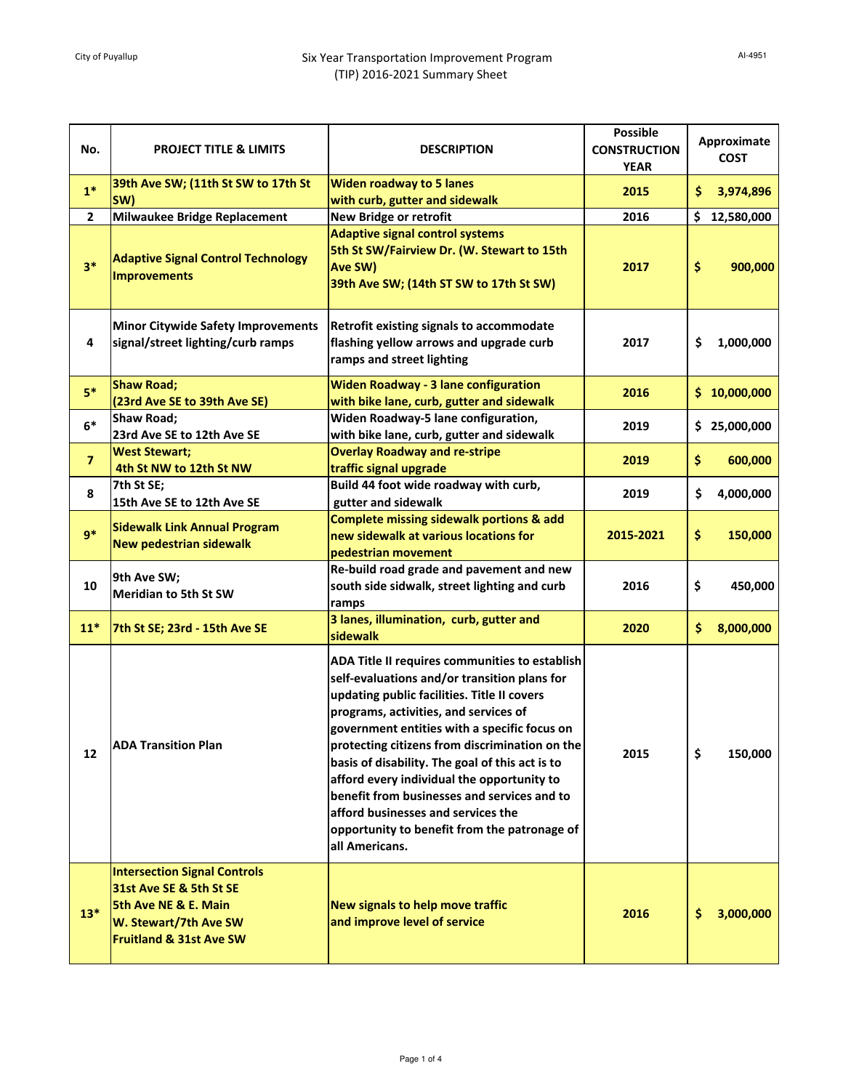## City of Puyallup **Six Year Transportation Improvement Program** (TIP) 2016-2021 Summary Sheet

| No.            | <b>PROJECT TITLE &amp; LIMITS</b>                                                                                                                     | <b>DESCRIPTION</b>                                                                                                                                                                                                                                                                                                                                                                                                                                                                                                                               | <b>Possible</b><br><b>CONSTRUCTION</b><br><b>YEAR</b> |     | Approximate<br><b>COST</b> |
|----------------|-------------------------------------------------------------------------------------------------------------------------------------------------------|--------------------------------------------------------------------------------------------------------------------------------------------------------------------------------------------------------------------------------------------------------------------------------------------------------------------------------------------------------------------------------------------------------------------------------------------------------------------------------------------------------------------------------------------------|-------------------------------------------------------|-----|----------------------------|
| $1*$           | 39th Ave SW; (11th St SW to 17th St<br>SW)                                                                                                            | <b>Widen roadway to 5 lanes</b><br>with curb, gutter and sidewalk                                                                                                                                                                                                                                                                                                                                                                                                                                                                                | 2015                                                  | \$. | 3,974,896                  |
| 2              | <b>Milwaukee Bridge Replacement</b>                                                                                                                   | <b>New Bridge or retrofit</b>                                                                                                                                                                                                                                                                                                                                                                                                                                                                                                                    | 2016                                                  | \$. | 12,580,000                 |
| $3*$           | <b>Adaptive Signal Control Technology</b><br><b>Improvements</b>                                                                                      | <b>Adaptive signal control systems</b><br>5th St SW/Fairview Dr. (W. Stewart to 15th<br>Ave SW)<br>39th Ave SW; (14th ST SW to 17th St SW)                                                                                                                                                                                                                                                                                                                                                                                                       | 2017                                                  | \$  | 900,000                    |
| 4              | <b>Minor Citywide Safety Improvements</b><br>signal/street lighting/curb ramps                                                                        | Retrofit existing signals to accommodate<br>flashing yellow arrows and upgrade curb<br>ramps and street lighting                                                                                                                                                                                                                                                                                                                                                                                                                                 | 2017                                                  | \$  | 1,000,000                  |
| $5*$           | <b>Shaw Road;</b><br>(23rd Ave SE to 39th Ave SE)                                                                                                     | <b>Widen Roadway - 3 lane configuration</b><br>with bike lane, curb, gutter and sidewalk                                                                                                                                                                                                                                                                                                                                                                                                                                                         | 2016                                                  |     | \$10,000,000               |
| $6*$           | Shaw Road;<br>23rd Ave SE to 12th Ave SE                                                                                                              | Widen Roadway-5 lane configuration,<br>with bike lane, curb, gutter and sidewalk                                                                                                                                                                                                                                                                                                                                                                                                                                                                 | 2019                                                  |     | \$25,000,000               |
| $\overline{7}$ | <b>West Stewart;</b><br>4th St NW to 12th St NW                                                                                                       | <b>Overlay Roadway and re-stripe</b><br>traffic signal upgrade                                                                                                                                                                                                                                                                                                                                                                                                                                                                                   | 2019                                                  | \$  | 600,000                    |
| 8              | 7th St SE;<br>15th Ave SE to 12th Ave SE                                                                                                              | Build 44 foot wide roadway with curb,<br>gutter and sidewalk                                                                                                                                                                                                                                                                                                                                                                                                                                                                                     | 2019                                                  | \$  | 4,000,000                  |
| $9*$           | <b>Sidewalk Link Annual Program</b><br><b>New pedestrian sidewalk</b>                                                                                 | <b>Complete missing sidewalk portions &amp; add</b><br>new sidewalk at various locations for<br>pedestrian movement                                                                                                                                                                                                                                                                                                                                                                                                                              | 2015-2021                                             | \$  | 150,000                    |
| 10             | 9th Ave SW;<br><b>Meridian to 5th St SW</b>                                                                                                           | Re-build road grade and pavement and new<br>south side sidwalk, street lighting and curb<br>ramps                                                                                                                                                                                                                                                                                                                                                                                                                                                | 2016                                                  | \$  | 450,000                    |
| $11*$          | 7th St SE; 23rd - 15th Ave SE                                                                                                                         | 3 lanes, illumination, curb, gutter and<br>sidewalk                                                                                                                                                                                                                                                                                                                                                                                                                                                                                              | 2020                                                  | \$. | 8,000,000                  |
| 12             | <b>ADA Transition Plan</b>                                                                                                                            | ADA Title II requires communities to establish<br>self-evaluations and/or transition plans for<br>updating public facilities. Title II covers<br>programs, activities, and services of<br>government entities with a specific focus on<br>protecting citizens from discrimination on the<br>basis of disability. The goal of this act is to<br>afford every individual the opportunity to<br>benefit from businesses and services and to<br>afford businesses and services the<br>opportunity to benefit from the patronage of<br>all Americans. | 2015                                                  | \$  | 150,000                    |
| $13*$          | <b>Intersection Signal Controls</b><br>31st Ave SE & 5th St SE<br>5th Ave NE & E. Main<br>W. Stewart/7th Ave SW<br><b>Fruitland &amp; 31st Ave SW</b> | New signals to help move traffic<br>and improve level of service                                                                                                                                                                                                                                                                                                                                                                                                                                                                                 | 2016                                                  | \$. | 3,000,000                  |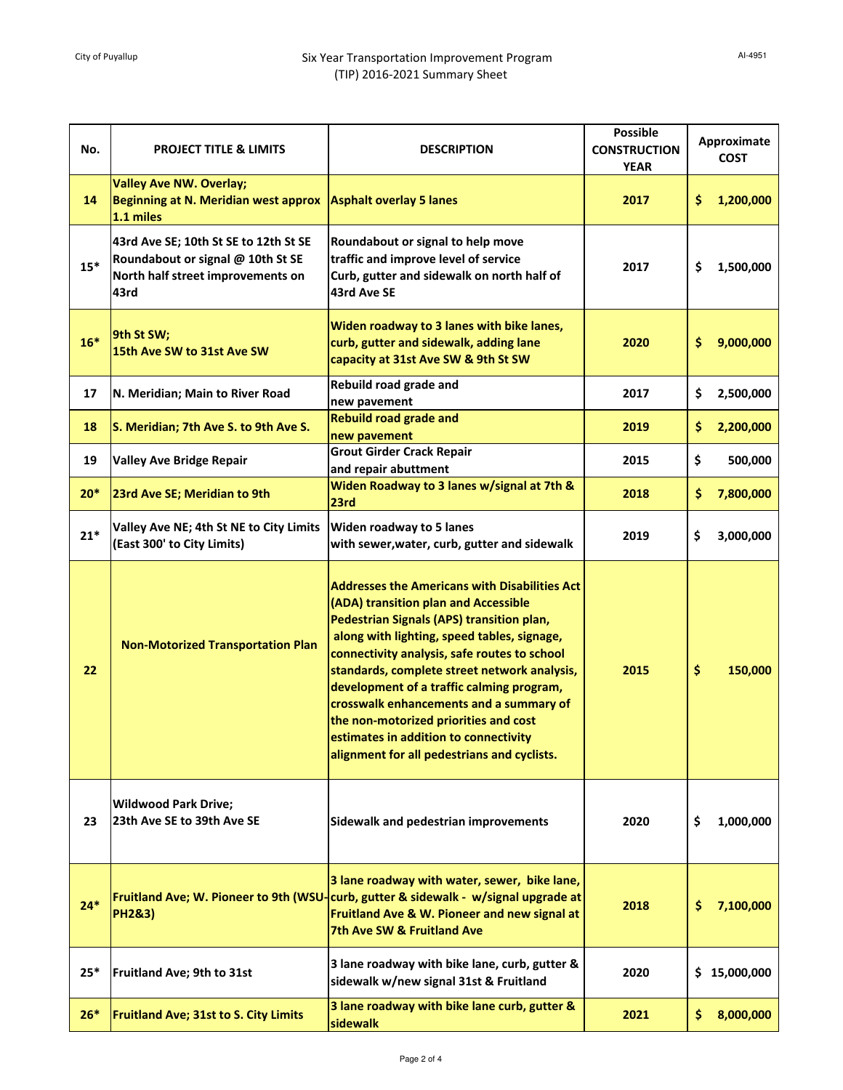## City of Puyallup **Six Year Transportation Improvement Program** (TIP) 2016-2021 Summary Sheet

| No.   | <b>PROJECT TITLE &amp; LIMITS</b>                                                                                       | <b>DESCRIPTION</b>                                                                                                                                                                                                                                                                                                                                                                                                                                                                                                | <b>Possible</b><br><b>CONSTRUCTION</b><br><b>YEAR</b> | Approximate<br><b>COST</b> |              |
|-------|-------------------------------------------------------------------------------------------------------------------------|-------------------------------------------------------------------------------------------------------------------------------------------------------------------------------------------------------------------------------------------------------------------------------------------------------------------------------------------------------------------------------------------------------------------------------------------------------------------------------------------------------------------|-------------------------------------------------------|----------------------------|--------------|
| 14    | <b>Valley Ave NW. Overlay;</b><br>Beginning at N. Meridian west approx<br>1.1 miles                                     | <b>Asphalt overlay 5 lanes</b>                                                                                                                                                                                                                                                                                                                                                                                                                                                                                    | 2017                                                  | \$.                        | 1,200,000    |
| $15*$ | 43rd Ave SE; 10th St SE to 12th St SE<br>Roundabout or signal @ 10th St SE<br>North half street improvements on<br>43rd | Roundabout or signal to help move<br>traffic and improve level of service<br>Curb, gutter and sidewalk on north half of<br>43rd Ave SE                                                                                                                                                                                                                                                                                                                                                                            | 2017                                                  | \$                         | 1,500,000    |
| $16*$ | 9th St SW;<br>15th Ave SW to 31st Ave SW                                                                                | Widen roadway to 3 lanes with bike lanes,<br>curb, gutter and sidewalk, adding lane<br>capacity at 31st Ave SW & 9th St SW                                                                                                                                                                                                                                                                                                                                                                                        | 2020                                                  | \$                         | 9,000,000    |
| 17    | N. Meridian; Main to River Road                                                                                         | Rebuild road grade and<br>new pavement                                                                                                                                                                                                                                                                                                                                                                                                                                                                            | 2017                                                  | \$                         | 2,500,000    |
| 18    | S. Meridian; 7th Ave S. to 9th Ave S.                                                                                   | <b>Rebuild road grade and</b><br>new pavement                                                                                                                                                                                                                                                                                                                                                                                                                                                                     | 2019                                                  | \$                         | 2,200,000    |
| 19    | <b>Valley Ave Bridge Repair</b>                                                                                         | <b>Grout Girder Crack Repair</b><br>and repair abuttment                                                                                                                                                                                                                                                                                                                                                                                                                                                          | 2015                                                  | \$                         | 500,000      |
| $20*$ | 23rd Ave SE; Meridian to 9th                                                                                            | Widen Roadway to 3 lanes w/signal at 7th &<br>23rd                                                                                                                                                                                                                                                                                                                                                                                                                                                                | 2018                                                  | \$                         | 7,800,000    |
| $21*$ | Valley Ave NE; 4th St NE to City Limits<br>(East 300' to City Limits)                                                   | Widen roadway to 5 lanes<br>with sewer, water, curb, gutter and sidewalk                                                                                                                                                                                                                                                                                                                                                                                                                                          | 2019                                                  | \$                         | 3,000,000    |
| 22    | <b>Non-Motorized Transportation Plan</b>                                                                                | <b>Addresses the Americans with Disabilities Act</b><br>(ADA) transition plan and Accessible<br>Pedestrian Signals (APS) transition plan,<br>along with lighting, speed tables, signage,<br>connectivity analysis, safe routes to school<br>standards, complete street network analysis,<br>development of a traffic calming program,<br>crosswalk enhancements and a summary of<br>the non-motorized priorities and cost<br>estimates in addition to connectivity<br>alignment for all pedestrians and cyclists. | 2015                                                  | \$                         | 150,000      |
| 23    | <b>Wildwood Park Drive;</b><br>23th Ave SE to 39th Ave SE                                                               | Sidewalk and pedestrian improvements                                                                                                                                                                                                                                                                                                                                                                                                                                                                              | 2020                                                  | \$                         | 1,000,000    |
| $24*$ | <b>PH2&amp;3)</b>                                                                                                       | 3 lane roadway with water, sewer, bike lane,<br>Fruitland Ave; W. Pioneer to 9th (WSU-curb, gutter & sidewalk - w/signal upgrade at<br>Fruitland Ave & W. Pioneer and new signal at<br>7th Ave SW & Fruitland Ave                                                                                                                                                                                                                                                                                                 | 2018                                                  | \$                         | 7,100,000    |
| $25*$ | Fruitland Ave; 9th to 31st                                                                                              | 3 lane roadway with bike lane, curb, gutter &<br>sidewalk w/new signal 31st & Fruitland                                                                                                                                                                                                                                                                                                                                                                                                                           | 2020                                                  |                            | \$15,000,000 |
| $26*$ | <b>Fruitland Ave; 31st to S. City Limits</b>                                                                            | 3 lane roadway with bike lane curb, gutter &<br>sidewalk                                                                                                                                                                                                                                                                                                                                                                                                                                                          | 2021                                                  | \$.                        | 8,000,000    |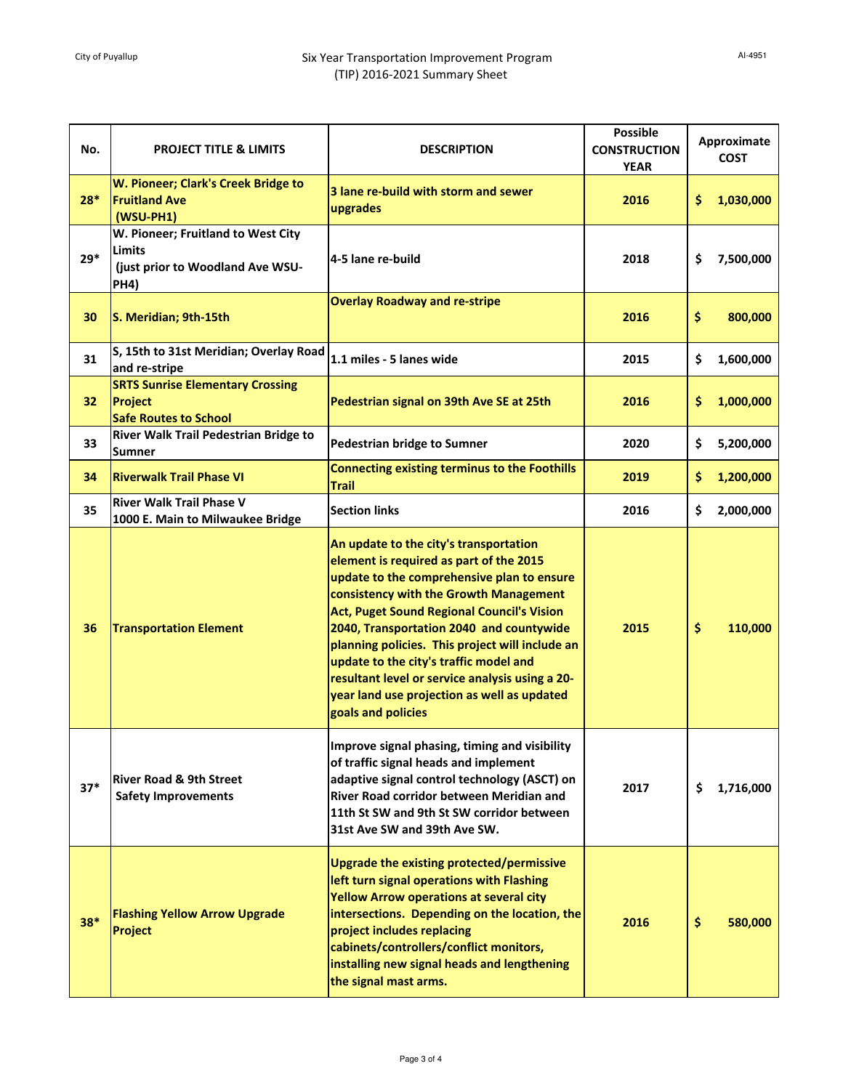| No.   | <b>PROJECT TITLE &amp; LIMITS</b>                                                               | <b>DESCRIPTION</b>                                                                                                                                                                                                                                                                                                                                                                                                                                                                       | <b>Possible</b><br><b>CONSTRUCTION</b><br><b>YEAR</b> |     | Approximate<br><b>COST</b> |
|-------|-------------------------------------------------------------------------------------------------|------------------------------------------------------------------------------------------------------------------------------------------------------------------------------------------------------------------------------------------------------------------------------------------------------------------------------------------------------------------------------------------------------------------------------------------------------------------------------------------|-------------------------------------------------------|-----|----------------------------|
| $28*$ | W. Pioneer; Clark's Creek Bridge to<br><b>Fruitland Ave</b><br>$(WSU-PH1)$                      | 3 lane re-build with storm and sewer<br>upgrades                                                                                                                                                                                                                                                                                                                                                                                                                                         | 2016                                                  | \$. | 1,030,000                  |
| $29*$ | W. Pioneer; Fruitland to West City<br><b>Limits</b><br>(just prior to Woodland Ave WSU-<br>PH4) | 4-5 lane re-build                                                                                                                                                                                                                                                                                                                                                                                                                                                                        | 2018                                                  | \$  | 7,500,000                  |
| 30    | S. Meridian; 9th-15th                                                                           | <b>Overlay Roadway and re-stripe</b>                                                                                                                                                                                                                                                                                                                                                                                                                                                     | 2016                                                  | \$  | 800,000                    |
| 31    | S, 15th to 31st Meridian; Overlay Road<br>and re-stripe                                         | 1.1 miles - 5 lanes wide                                                                                                                                                                                                                                                                                                                                                                                                                                                                 | 2015                                                  | \$  | 1,600,000                  |
| 32    | <b>SRTS Sunrise Elementary Crossing</b><br>Project<br><b>Safe Routes to School</b>              | Pedestrian signal on 39th Ave SE at 25th                                                                                                                                                                                                                                                                                                                                                                                                                                                 | 2016                                                  | \$. | 1,000,000                  |
| 33    | River Walk Trail Pedestrian Bridge to<br>Sumner                                                 | <b>Pedestrian bridge to Sumner</b>                                                                                                                                                                                                                                                                                                                                                                                                                                                       | 2020                                                  | \$  | 5,200,000                  |
| 34    | <b>Riverwalk Trail Phase VI</b>                                                                 | <b>Connecting existing terminus to the Foothills</b><br><b>Trail</b>                                                                                                                                                                                                                                                                                                                                                                                                                     | 2019                                                  | \$. | 1,200,000                  |
| 35    | <b>River Walk Trail Phase V</b><br>1000 E. Main to Milwaukee Bridge                             | <b>Section links</b>                                                                                                                                                                                                                                                                                                                                                                                                                                                                     | 2016                                                  | \$  | 2,000,000                  |
| 36    | <b>Transportation Element</b>                                                                   | An update to the city's transportation<br>element is required as part of the 2015<br>update to the comprehensive plan to ensure<br>consistency with the Growth Management<br>Act, Puget Sound Regional Council's Vision<br>2040, Transportation 2040 and countywide<br>planning policies. This project will include an<br>update to the city's traffic model and<br>resultant level or service analysis using a 20-<br>year land use projection as well as updated<br>goals and policies | 2015                                                  | \$  | 110,000                    |
| $37*$ | <b>River Road &amp; 9th Street</b><br><b>Safety Improvements</b>                                | Improve signal phasing, timing and visibility<br>of traffic signal heads and implement<br>adaptive signal control technology (ASCT) on<br>River Road corridor between Meridian and<br>11th St SW and 9th St SW corridor between<br>31st Ave SW and 39th Ave SW.                                                                                                                                                                                                                          | 2017                                                  | \$  | 1,716,000                  |
| $38*$ | <b>Flashing Yellow Arrow Upgrade</b><br>Project                                                 | Upgrade the existing protected/permissive<br>left turn signal operations with Flashing<br><b>Yellow Arrow operations at several city</b><br>intersections. Depending on the location, the<br>project includes replacing<br>cabinets/controllers/conflict monitors,<br>installing new signal heads and lengthening<br>the signal mast arms.                                                                                                                                               | 2016                                                  | \$  | 580,000                    |